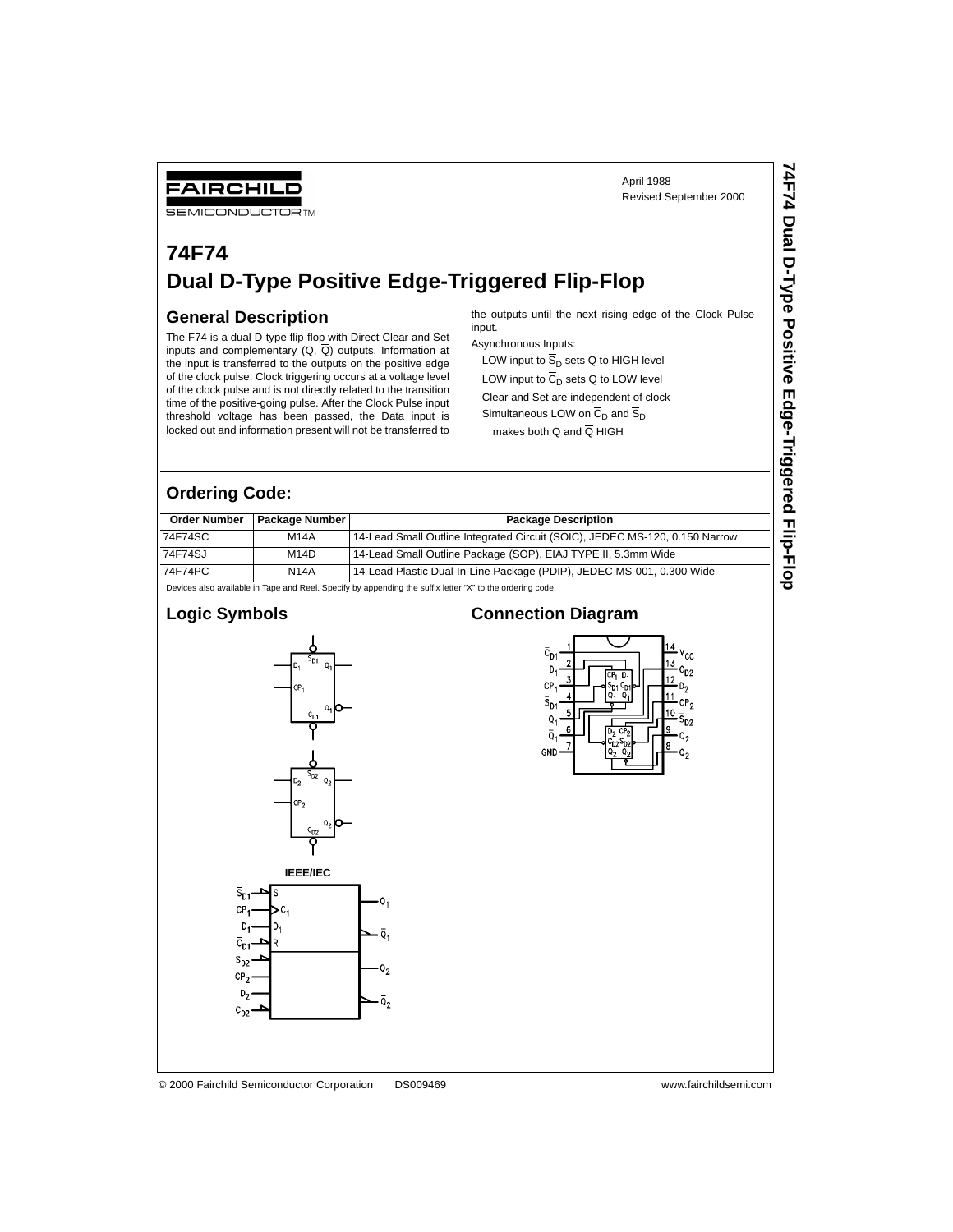### **74F74 Dual D-Type Positive Edge-Triggered Flip-Flop**

#### **General Description**

FAIRCHILD **SEMICONDUCTOR TM** 

The F74 is a dual D-type flip-flop with Direct Clear and Set inputs and complementary  $(Q, \overline{Q})$  outputs. Information at the input is transferred to the outputs on the positive edge of the clock pulse. Clock triggering occurs at a voltage level of the clock pulse and is not directly related to the transition time of the positive-going pulse. After the Clock Pulse input threshold voltage has been passed, the Data input is locked out and information present will not be transferred to the outputs until the next rising edge of the Clock Pulse input.

Asynchronous Inputs:

LOW input to  $\overline{S}_{D}$  sets Q to HIGH level LOW input to  $\overline{C}_D$  sets Q to LOW level

Clear and Set are independent of clock

Simultaneous LOW on  $\overline{C}_D$  and  $\overline{S}_D$ makes both Q and  $\overline{Q}$  HIGH

#### **Ordering Code:**

| <b>Order Number</b>                                                                                       | <b>Package Number</b> | <b>Package Description</b>                                                  |  |  |  |  |
|-----------------------------------------------------------------------------------------------------------|-----------------------|-----------------------------------------------------------------------------|--|--|--|--|
| 74F74SC                                                                                                   | <b>M14A</b>           | 14-Lead Small Outline Integrated Circuit (SOIC), JEDEC MS-120, 0.150 Narrow |  |  |  |  |
| 74F74SJ                                                                                                   | M <sub>14</sub> D     | 14-Lead Small Outline Package (SOP), EIAJ TYPE II, 5.3mm Wide               |  |  |  |  |
| 74F74PC                                                                                                   | <b>N14A</b>           | 14-Lead Plastic Dual-In-Line Package (PDIP), JEDEC MS-001, 0.300 Wide       |  |  |  |  |
| Devices also available in Tape and Reel. Specify by appending the suffix letter "X" to the ordering code. |                       |                                                                             |  |  |  |  |

**Logic Symbols**



#### **Connection Diagram**



© 2000 Fairchild Semiconductor Corporation DS009469 www.fairchildsemi.com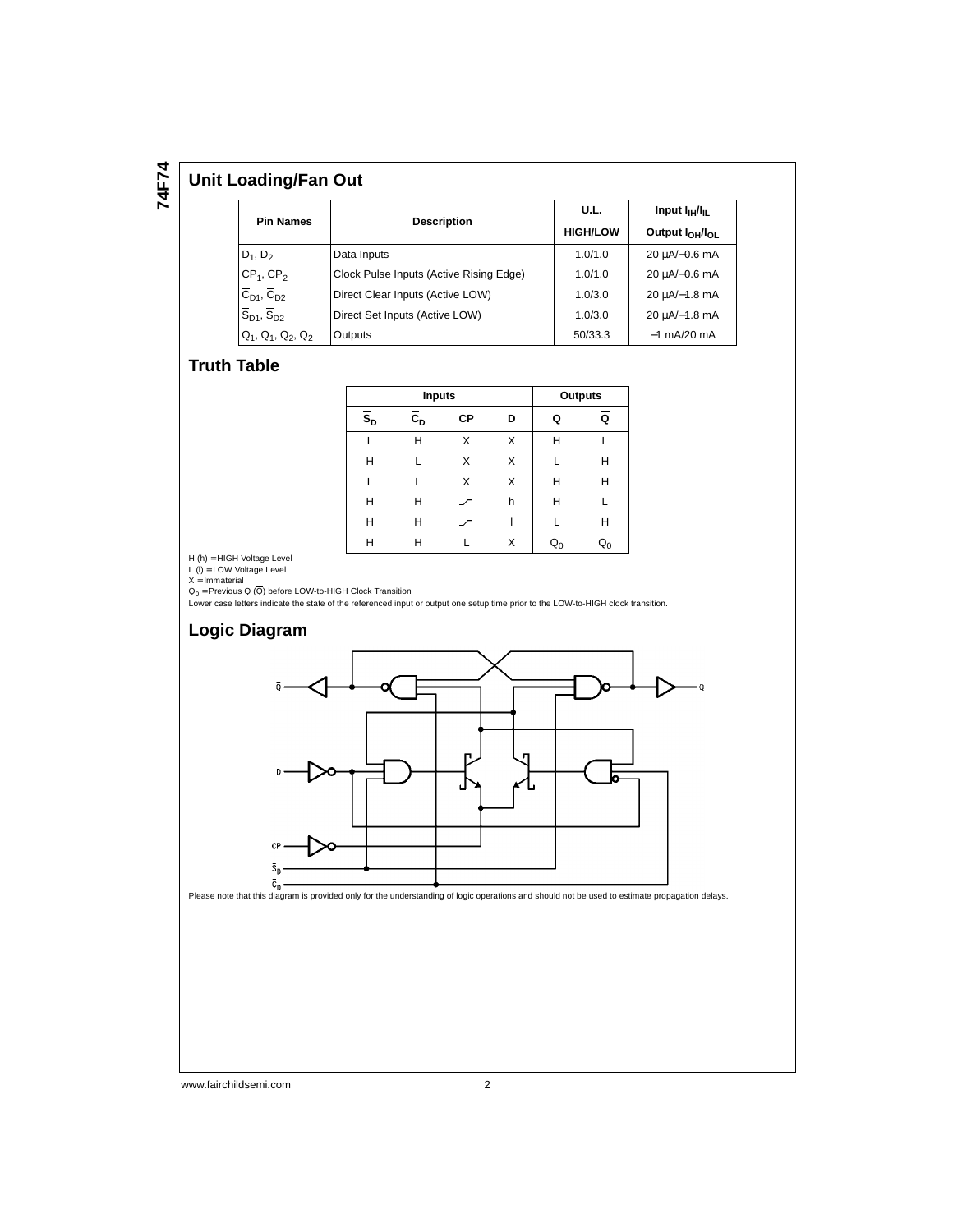# **74F74**

#### **Unit Loading/Fan Out**

| <b>Pin Names</b>                          |                                         | U.L.            | Input $I_{\text{H}}/I_{\text{H}}$       |  |
|-------------------------------------------|-----------------------------------------|-----------------|-----------------------------------------|--|
|                                           | <b>Description</b>                      | <b>HIGH/LOW</b> | Output I <sub>OH</sub> /I <sub>OL</sub> |  |
| $D_1, D_2$                                | Data Inputs                             | 1.0/1.0         | 20 µA/-0.6 mA                           |  |
| $CP1$ , $CP2$                             | Clock Pulse Inputs (Active Rising Edge) | 1.0/1.0         | 20 µA/-0.6 mA                           |  |
| $\overline{C}_{D1}$ , $\overline{C}_{D2}$ | Direct Clear Inputs (Active LOW)        | 1.0/3.0         | $20 \mu A/-1.8 \text{ mA}$              |  |
| $\overline{S}_{D1}$ , $\overline{S}_{D2}$ | Direct Set Inputs (Active LOW)          | 1.0/3.0         | $20 \mu A/-1.8 \text{ mA}$              |  |
| $Q_1$ , $\overline{Q}_1$ , $Q_2$ , $Q_2$  | Outputs                                 | 50/33.3         | $-1$ mA/20 mA                           |  |

#### **Truth Table**

|                           | <b>Inputs</b>                        | <b>Outputs</b> |   |                |                           |
|---------------------------|--------------------------------------|----------------|---|----------------|---------------------------|
| $\overline{s}_{\text{D}}$ | $\overline{\mathsf{c}}_{\mathsf{d}}$ | СP             | D | Q              | Q                         |
|                           | н                                    | X              | X | н              |                           |
| н                         |                                      | X              | X |                | Н                         |
| L                         |                                      | X              | X | н              | Н                         |
| Н                         | н                                    |                | h | Н              | L                         |
| н                         | н                                    |                |   |                | Н                         |
| н                         | н                                    |                | X | Q <sub>n</sub> | $\overline{\mathtt{Q}}_0$ |

H (h) = HIGH Voltage Level

L (I) = LOW Voltage Level<br>X = Immaterial<br>Q<sub>0</sub> = Previous Q (Q) before LOW-to-HIGH Clock Transition

Lower case letters indicate the state of the referenced input or output one setup time prior to the LOW-to-HIGH clock transition.



www.fairchildsemi.com 2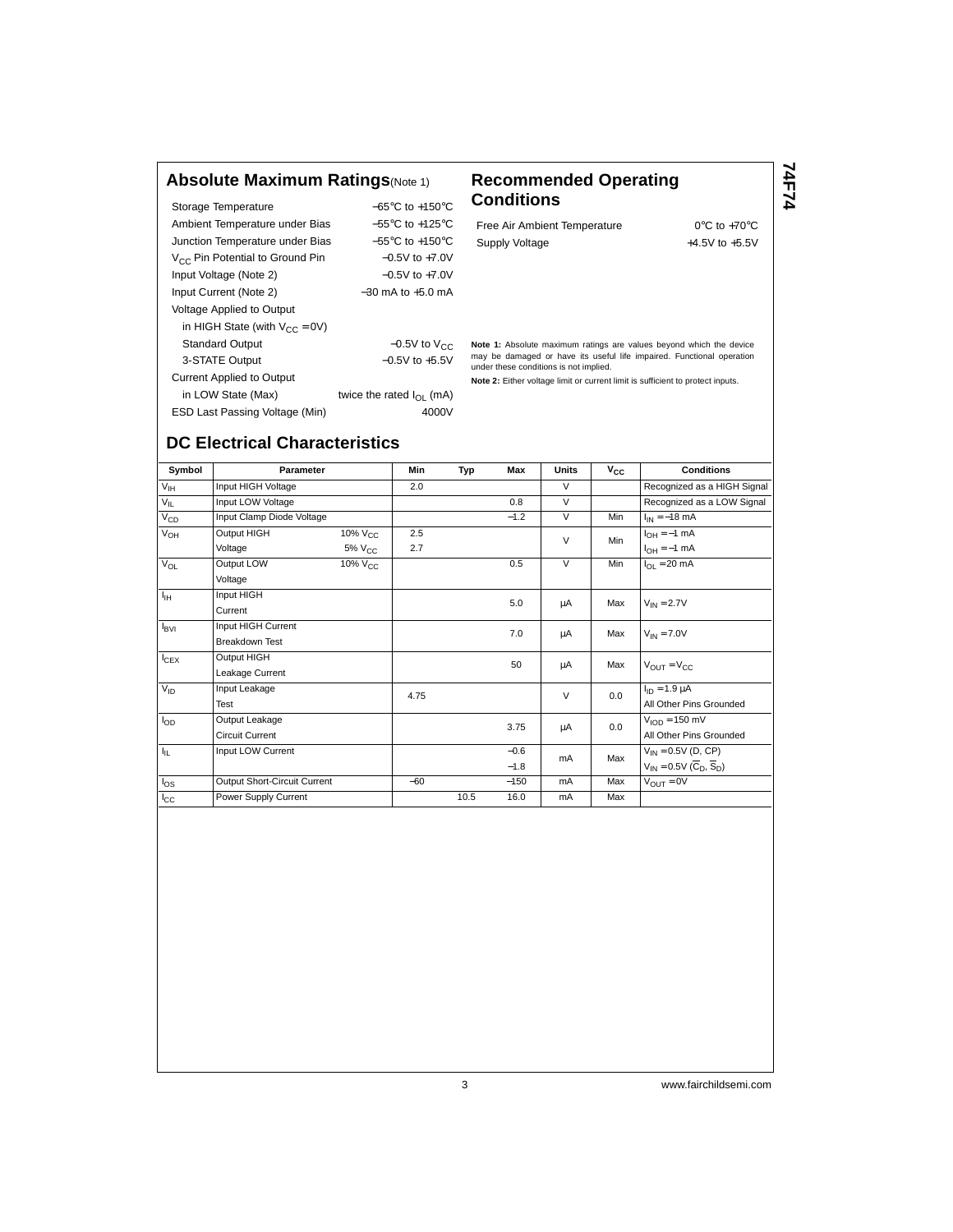#### **Absolute Maximum Ratings**(Note 1) **Recommended Operating**

| Storage Temperature                         | $-65^{\circ}$ C to $+150^{\circ}$ C |  |  |  |
|---------------------------------------------|-------------------------------------|--|--|--|
| Ambient Temperature under Bias              | $-55^{\circ}$ C to $+125^{\circ}$ C |  |  |  |
| Junction Temperature under Bias             | $-55^{\circ}$ C to $+150^{\circ}$ C |  |  |  |
| V <sub>CC</sub> Pin Potential to Ground Pin | $-0.5V$ to $+7.0V$                  |  |  |  |
| Input Voltage (Note 2)                      | $-0.5V$ to $+7.0V$                  |  |  |  |
| Input Current (Note 2)                      | $-30$ mA to $+5.0$ mA               |  |  |  |
| Voltage Applied to Output                   |                                     |  |  |  |
| in HIGH State (with $V_{CC} = 0V$ )         |                                     |  |  |  |
| <b>Standard Output</b>                      | $-0.5V$ to $V_{CC}$                 |  |  |  |
| 3-STATE Output                              | $-0.5V$ to $+5.5V$                  |  |  |  |
| <b>Current Applied to Output</b>            |                                     |  |  |  |
| in LOW State (Max)                          | twice the rated $I_{\Omega}$ (mA)   |  |  |  |
| ESD Last Passing Voltage (Min)              | 4000V                               |  |  |  |

## **Conditions**

Free Air Ambient Temperature 0°C to +70°C Supply Voltage  $+4.5V$  to  $+5.5V$ 

**74F74**

**Note 1:** Absolute maximum ratings are values beyond which the device may be damaged or have its useful life impaired. Functional operation under these conditions is not implied.

**Note 2:** Either voltage limit or current limit is sufficient to protect inputs.

### **DC Electrical Characteristics**

| Symbol           | Parameter                    |                    | Min   | Typ  | <b>Max</b> | <b>Units</b>      | $V_{CC}$                | <b>Conditions</b>                                   |  |
|------------------|------------------------------|--------------------|-------|------|------------|-------------------|-------------------------|-----------------------------------------------------|--|
| $V_{\text{IH}}$  | Input HIGH Voltage           |                    | 2.0   |      |            | $\vee$            |                         | Recognized as a HIGH Signal                         |  |
| $V_{IL}$         | Input LOW Voltage            |                    |       |      | 0.8        | $\vee$            |                         | Recognized as a LOW Signal                          |  |
| $V_{CD}$         | Input Clamp Diode Voltage    |                    |       |      | $-1.2$     | $\vee$            | Min                     | $I_{IN} = -18$ mA                                   |  |
| $V_{OH}$         | Output HIGH                  | $10\%$ $V_{CC}$    | 2.5   |      |            | $\vee$            | Min                     | $I_{OH} = -1$ mA                                    |  |
|                  | Voltage                      | 5% V <sub>CC</sub> | 2.7   |      |            |                   |                         | $I_{OH} = -1$ mA                                    |  |
| $V_{OL}$         | Output LOW                   | $10\%$ $V_{CC}$    |       |      | 0.5        | $\overline{\vee}$ | Min                     | $I_{OL}$ = 20 mA                                    |  |
|                  | Voltage                      |                    |       |      |            |                   |                         |                                                     |  |
| ŀщ               | Input HIGH                   |                    |       |      | 5.0        | μA                | Max                     | $V_{IN} = 2.7V$                                     |  |
|                  | Current                      |                    |       |      |            |                   |                         |                                                     |  |
| $I_{\text{BVI}}$ | Input HIGH Current           |                    |       |      | 7.0        |                   | Max                     |                                                     |  |
|                  | <b>Breakdown Test</b>        |                    |       |      |            | μA                |                         | $V_{IN}$ = 7.0V                                     |  |
| $I_{CEX}$        | Output HIGH                  |                    |       |      | 50         | μA                | Max                     |                                                     |  |
|                  | Leakage Current              |                    |       |      |            |                   |                         | $V_{\text{OUT}} = V_{\text{CC}}$                    |  |
| $V_{ID}$         | Input Leakage                |                    | 4.75  |      |            | $\vee$            | 0.0                     | $I_{ID} = 1.9 \mu A$                                |  |
|                  | Test                         |                    |       |      |            |                   | All Other Pins Grounded |                                                     |  |
| $I_{OD}$         | Output Leakage               |                    |       |      | 3.75       | μA                | 0.0                     | $VION = 150 mV$                                     |  |
|                  | <b>Circuit Current</b>       |                    |       |      |            |                   |                         | All Other Pins Grounded                             |  |
| ŀμ.              | Input LOW Current            |                    |       |      | $-0.6$     | mA                | Max                     | $V_{IN} = 0.5V$ (D, CP)                             |  |
|                  |                              |                    |       |      | $-1.8$     |                   |                         | $V_{IN} = 0.5V(\overline{C}_{D}, \overline{S}_{D})$ |  |
| $I_{OS}$         | Output Short-Circuit Current |                    | $-60$ |      | $-150$     | mA                | Max                     | $V_{\text{OUT}} = 0V$                               |  |
| $I_{\rm CC}$     | Power Supply Current         |                    |       | 10.5 | 16.0       | <b>mA</b>         | Max                     |                                                     |  |

3 www.fairchildsemi.com